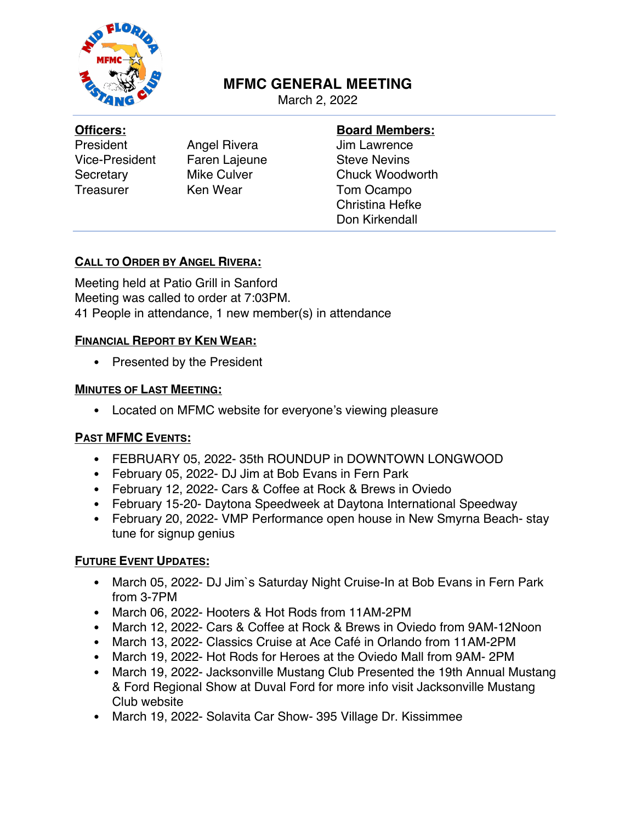

# **MFMC GENERAL MEETING**

March 2, 2022

#### **Officers:**

President Angel Rivera Vice-President Faren Lajeune Secretary Mike Culver Treasurer Ken Wear

#### **Board Members:**

Jim Lawrence Steve Nevins Chuck Woodworth Tom Ocampo Christina Hefke Don Kirkendall

### **CALL TO ORDER BY ANGEL RIVERA:**

Meeting held at Patio Grill in Sanford Meeting was called to order at 7:03PM. 41 People in attendance, 1 new member(s) in attendance

### **FINANCIAL REPORT BY KEN WEAR:**

• Presented by the President

#### **MINUTES OF LAST MEETING:**

• Located on MFMC website for everyone's viewing pleasure

### **PAST MFMC EVENTS:**

- FEBRUARY 05, 2022- 35th ROUNDUP in DOWNTOWN LONGWOOD
- February 05, 2022- DJ Jim at Bob Evans in Fern Park
- February 12, 2022- Cars & Coffee at Rock & Brews in Oviedo
- February 15-20- Daytona Speedweek at Daytona International Speedway
- February 20, 2022- VMP Performance open house in New Smyrna Beach- stay tune for signup genius

### **FUTURE EVENT UPDATES:**

- March 05, 2022- DJ Jim's Saturday Night Cruise-In at Bob Evans in Fern Park from 3-7PM
- March 06, 2022- Hooters & Hot Rods from 11AM-2PM
- March 12, 2022- Cars & Coffee at Rock & Brews in Oviedo from 9AM-12Noon
- March 13, 2022- Classics Cruise at Ace Café in Orlando from 11AM-2PM
- March 19, 2022- Hot Rods for Heroes at the Oviedo Mall from 9AM- 2PM
- March 19, 2022- Jacksonville Mustang Club Presented the 19th Annual Mustang & Ford Regional Show at Duval Ford for more info visit Jacksonville Mustang Club website
- March 19, 2022- Solavita Car Show- 395 Village Dr. Kissimmee